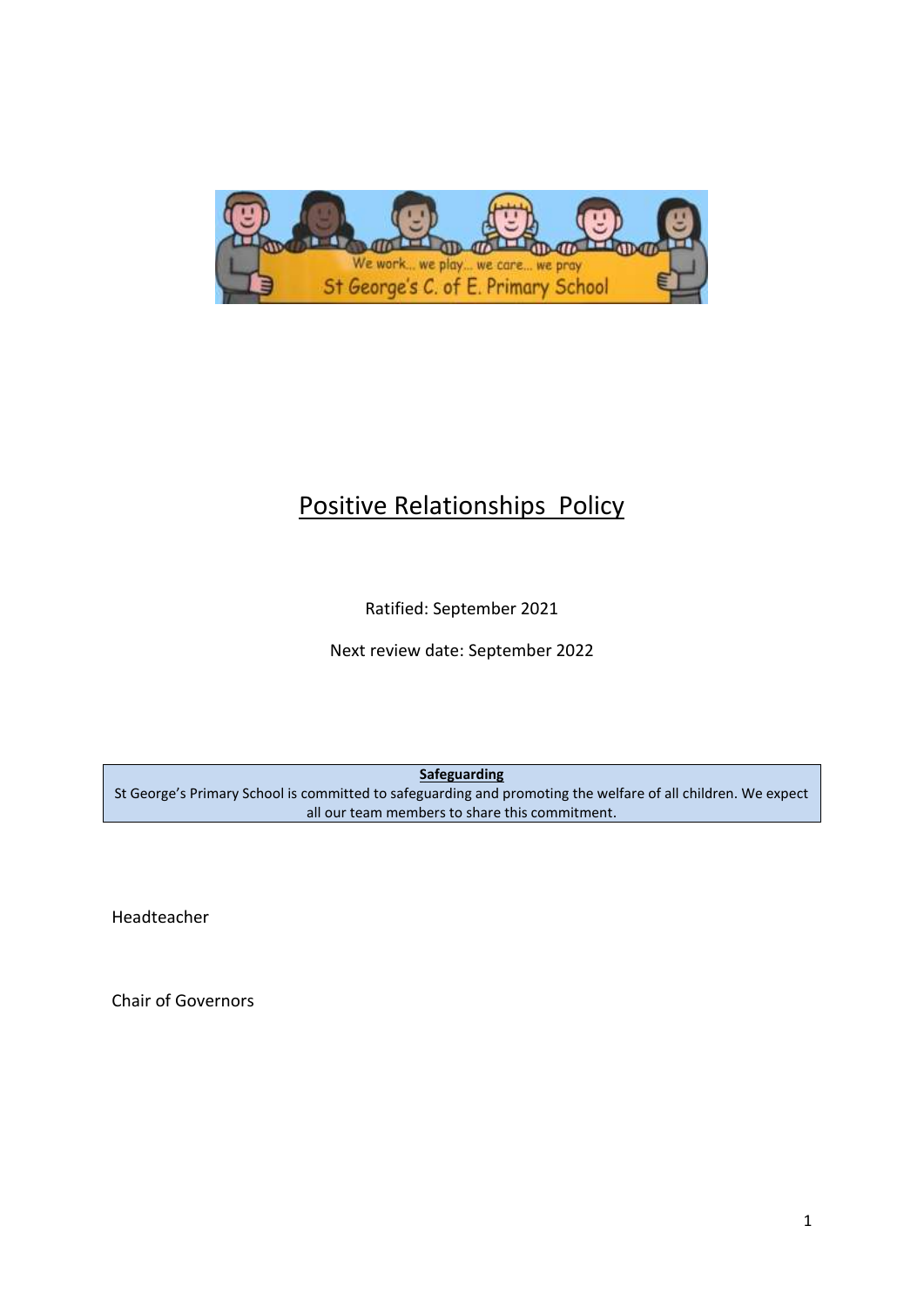

# Positive Relationships Policy

Ratified: September 2021

Next review date: September 2022

**Safeguarding**

St George's Primary School is committed to safeguarding and promoting the welfare of all children. We expect all our team members to share this commitment.

Headteacher

Chair of Governors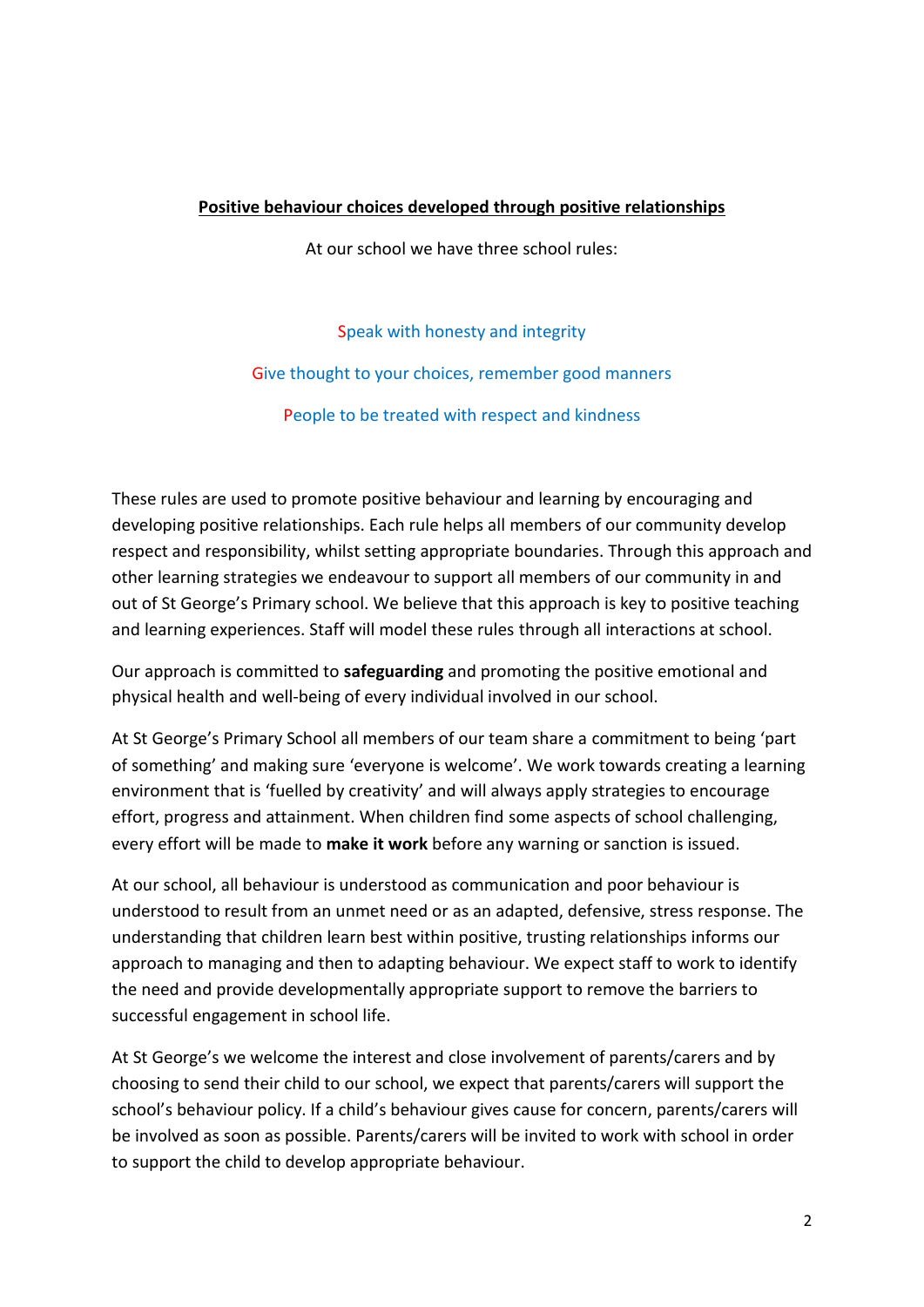#### **Positive behaviour choices developed through positive relationships**

At our school we have three school rules:

Speak with honesty and integrity Give thought to your choices, remember good manners People to be treated with respect and kindness

These rules are used to promote positive behaviour and learning by encouraging and developing positive relationships. Each rule helps all members of our community develop respect and responsibility, whilst setting appropriate boundaries. Through this approach and other learning strategies we endeavour to support all members of our community in and out of St George's Primary school. We believe that this approach is key to positive teaching and learning experiences. Staff will model these rules through all interactions at school.

Our approach is committed to **safeguarding** and promoting the positive emotional and physical health and well-being of every individual involved in our school.

At St George's Primary School all members of our team share a commitment to being 'part of something' and making sure 'everyone is welcome'. We work towards creating a learning environment that is 'fuelled by creativity' and will always apply strategies to encourage effort, progress and attainment. When children find some aspects of school challenging, every effort will be made to **make it work** before any warning or sanction is issued.

At our school, all behaviour is understood as communication and poor behaviour is understood to result from an unmet need or as an adapted, defensive, stress response. The understanding that children learn best within positive, trusting relationships informs our approach to managing and then to adapting behaviour. We expect staff to work to identify the need and provide developmentally appropriate support to remove the barriers to successful engagement in school life.

At St George's we welcome the interest and close involvement of parents/carers and by choosing to send their child to our school, we expect that parents/carers will support the school's behaviour policy. If a child's behaviour gives cause for concern, parents/carers will be involved as soon as possible. Parents/carers will be invited to work with school in order to support the child to develop appropriate behaviour.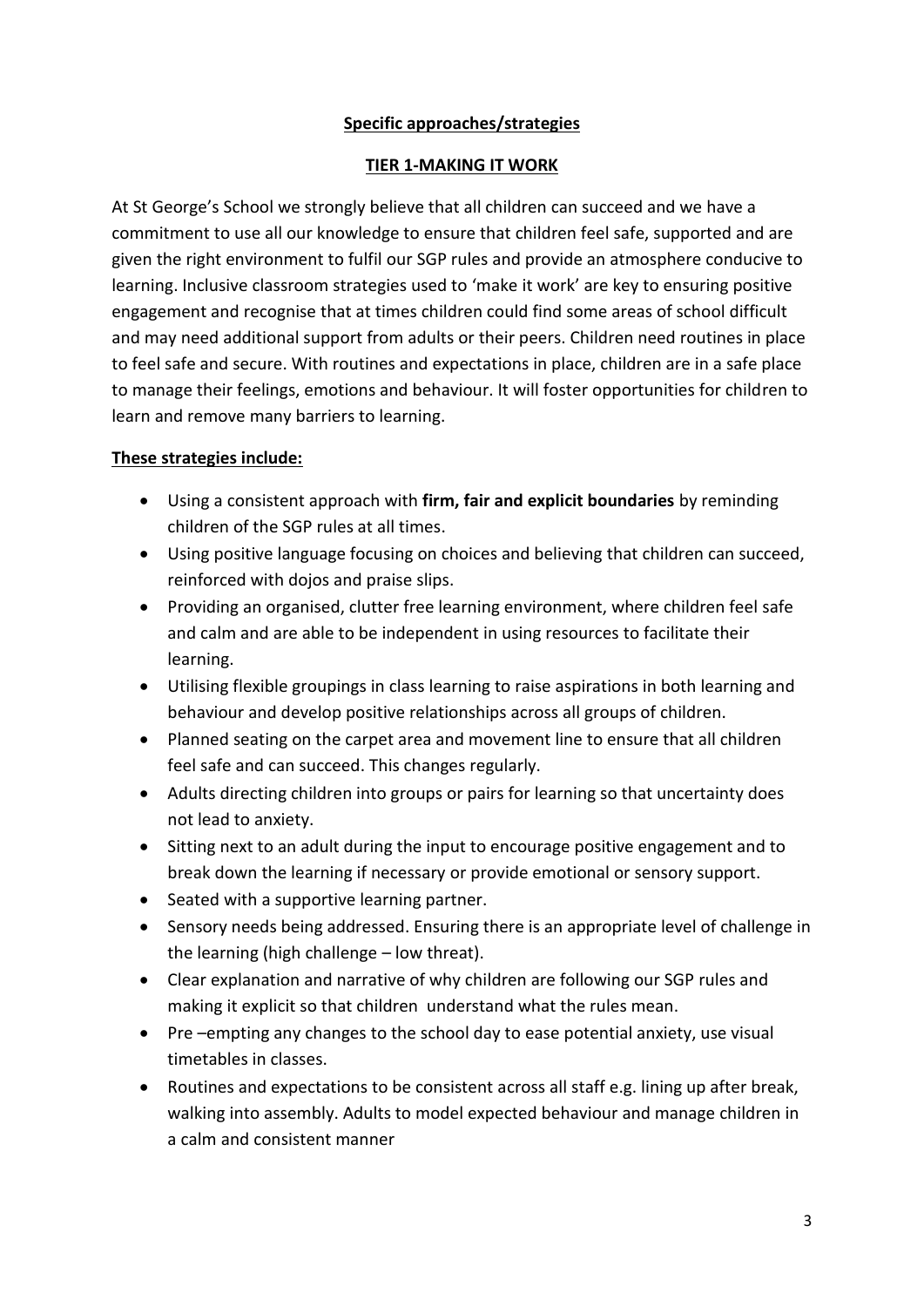#### **Specific approaches/strategies**

#### **TIER 1-MAKING IT WORK**

At St George's School we strongly believe that all children can succeed and we have a commitment to use all our knowledge to ensure that children feel safe, supported and are given the right environment to fulfil our SGP rules and provide an atmosphere conducive to learning. Inclusive classroom strategies used to 'make it work' are key to ensuring positive engagement and recognise that at times children could find some areas of school difficult and may need additional support from adults or their peers. Children need routines in place to feel safe and secure. With routines and expectations in place, children are in a safe place to manage their feelings, emotions and behaviour. It will foster opportunities for children to learn and remove many barriers to learning.

#### **These strategies include:**

- Using a consistent approach with **firm, fair and explicit boundaries** by reminding children of the SGP rules at all times.
- Using positive language focusing on choices and believing that children can succeed, reinforced with dojos and praise slips.
- Providing an organised, clutter free learning environment, where children feel safe and calm and are able to be independent in using resources to facilitate their learning.
- Utilising flexible groupings in class learning to raise aspirations in both learning and behaviour and develop positive relationships across all groups of children.
- Planned seating on the carpet area and movement line to ensure that all children feel safe and can succeed. This changes regularly.
- Adults directing children into groups or pairs for learning so that uncertainty does not lead to anxiety.
- Sitting next to an adult during the input to encourage positive engagement and to break down the learning if necessary or provide emotional or sensory support.
- Seated with a supportive learning partner.
- Sensory needs being addressed. Ensuring there is an appropriate level of challenge in the learning (high challenge – low threat).
- Clear explanation and narrative of why children are following our SGP rules and making it explicit so that children understand what the rules mean.
- Pre –empting any changes to the school day to ease potential anxiety, use visual timetables in classes.
- Routines and expectations to be consistent across all staff e.g. lining up after break, walking into assembly. Adults to model expected behaviour and manage children in a calm and consistent manner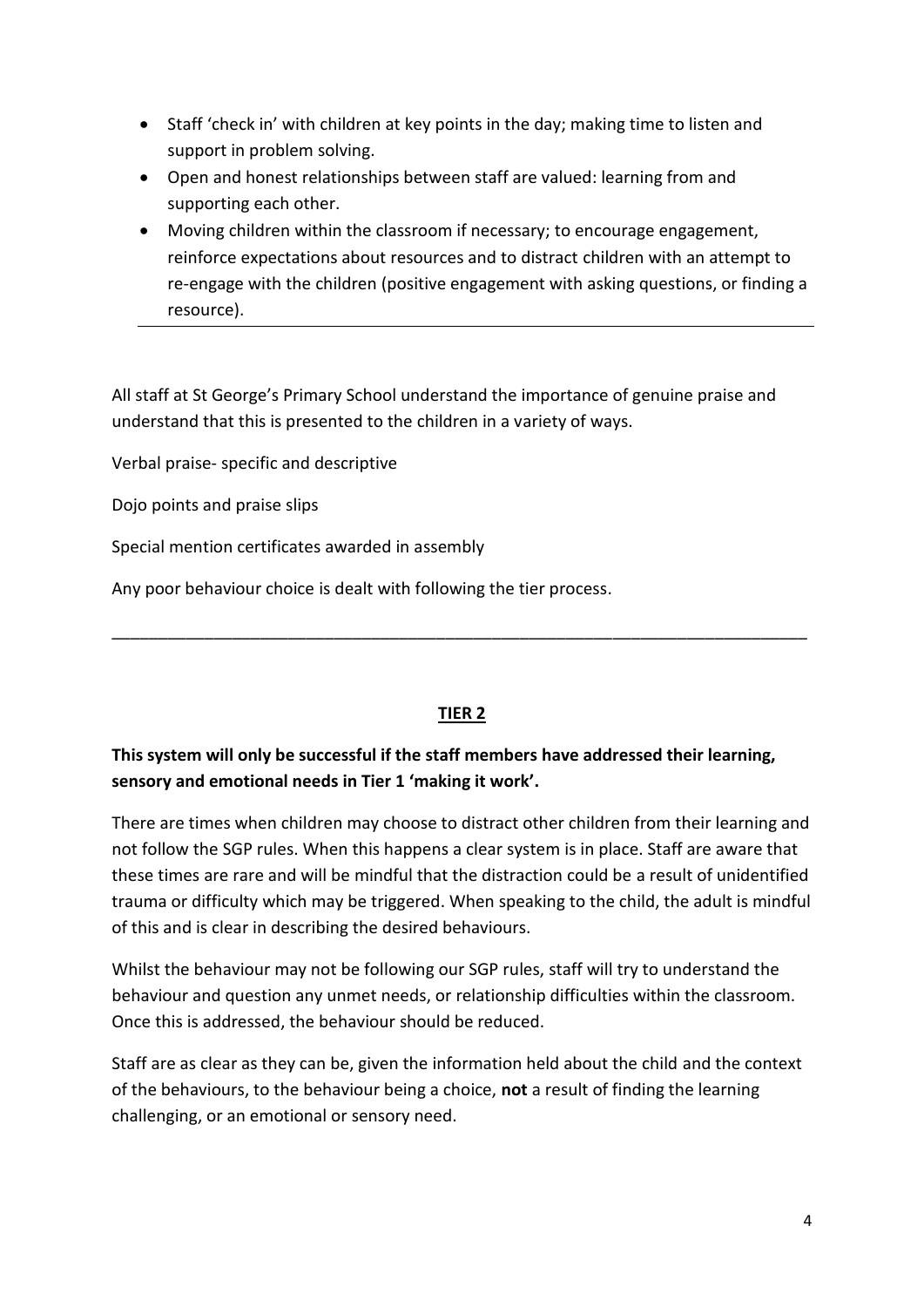- Staff 'check in' with children at key points in the day; making time to listen and support in problem solving.
- Open and honest relationships between staff are valued: learning from and supporting each other.
- Moving children within the classroom if necessary; to encourage engagement, reinforce expectations about resources and to distract children with an attempt to re-engage with the children (positive engagement with asking questions, or finding a resource).

All staff at St George's Primary School understand the importance of genuine praise and understand that this is presented to the children in a variety of ways.

Verbal praise- specific and descriptive

Dojo points and praise slips

Special mention certificates awarded in assembly

Any poor behaviour choice is dealt with following the tier process.

#### **TIER 2**

\_\_\_\_\_\_\_\_\_\_\_\_\_\_\_\_\_\_\_\_\_\_\_\_\_\_\_\_\_\_\_\_\_\_\_\_\_\_\_\_\_\_\_\_\_\_\_\_\_\_\_\_\_\_\_\_\_\_\_\_\_\_\_\_\_\_\_\_\_\_\_\_\_\_\_

## **This system will only be successful if the staff members have addressed their learning, sensory and emotional needs in Tier 1 'making it work'.**

There are times when children may choose to distract other children from their learning and not follow the SGP rules. When this happens a clear system is in place. Staff are aware that these times are rare and will be mindful that the distraction could be a result of unidentified trauma or difficulty which may be triggered. When speaking to the child, the adult is mindful of this and is clear in describing the desired behaviours.

Whilst the behaviour may not be following our SGP rules, staff will try to understand the behaviour and question any unmet needs, or relationship difficulties within the classroom. Once this is addressed, the behaviour should be reduced.

Staff are as clear as they can be, given the information held about the child and the context of the behaviours, to the behaviour being a choice, **not** a result of finding the learning challenging, or an emotional or sensory need.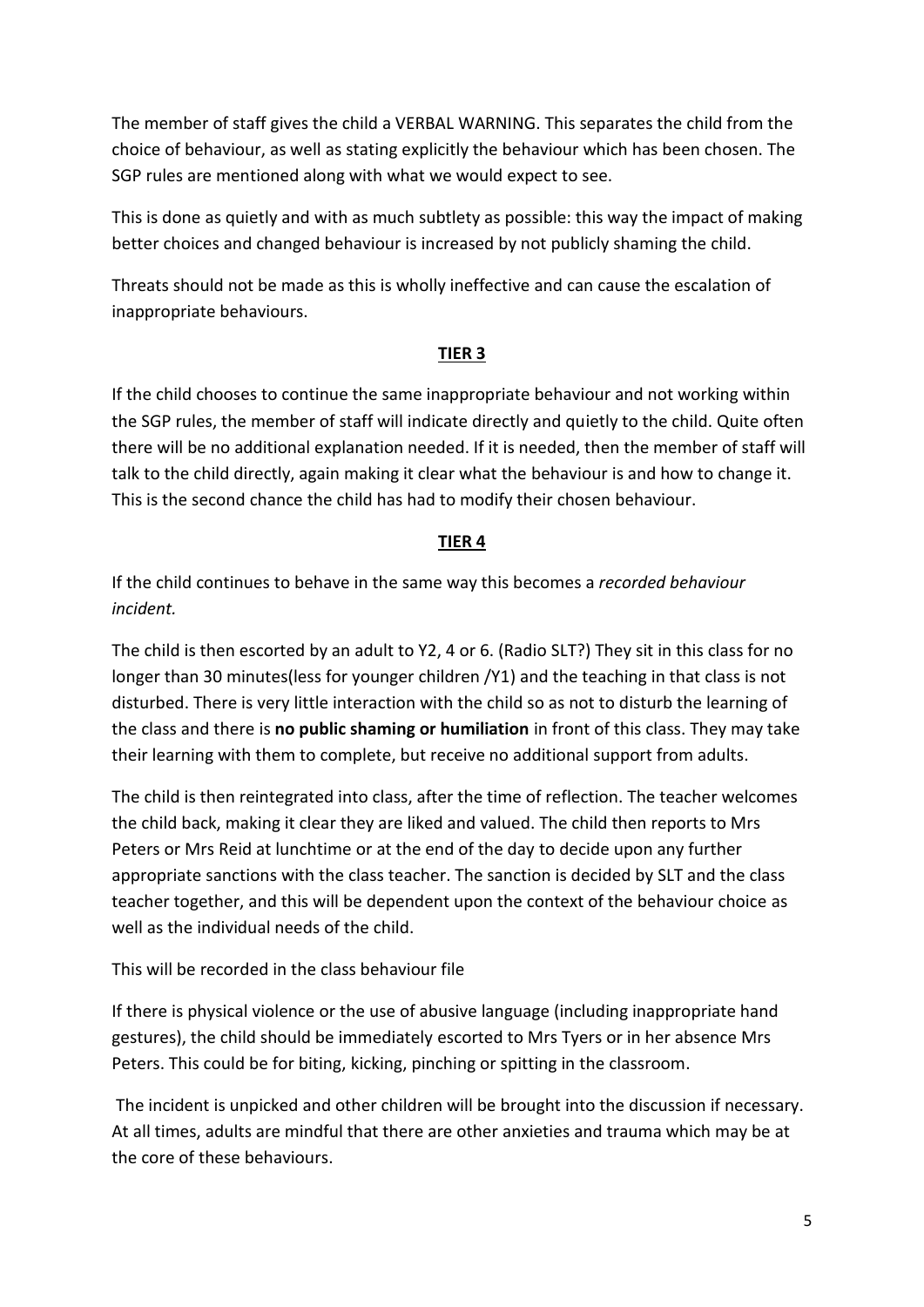The member of staff gives the child a VERBAL WARNING. This separates the child from the choice of behaviour, as well as stating explicitly the behaviour which has been chosen. The SGP rules are mentioned along with what we would expect to see.

This is done as quietly and with as much subtlety as possible: this way the impact of making better choices and changed behaviour is increased by not publicly shaming the child.

Threats should not be made as this is wholly ineffective and can cause the escalation of inappropriate behaviours.

#### **TIER 3**

If the child chooses to continue the same inappropriate behaviour and not working within the SGP rules, the member of staff will indicate directly and quietly to the child. Quite often there will be no additional explanation needed. If it is needed, then the member of staff will talk to the child directly, again making it clear what the behaviour is and how to change it. This is the second chance the child has had to modify their chosen behaviour.

#### **TIER 4**

If the child continues to behave in the same way this becomes a *recorded behaviour incident.*

The child is then escorted by an adult to Y2, 4 or 6. (Radio SLT?) They sit in this class for no longer than 30 minutes(less for younger children /Y1) and the teaching in that class is not disturbed. There is very little interaction with the child so as not to disturb the learning of the class and there is **no public shaming or humiliation** in front of this class. They may take their learning with them to complete, but receive no additional support from adults.

The child is then reintegrated into class, after the time of reflection. The teacher welcomes the child back, making it clear they are liked and valued. The child then reports to Mrs Peters or Mrs Reid at lunchtime or at the end of the day to decide upon any further appropriate sanctions with the class teacher. The sanction is decided by SLT and the class teacher together, and this will be dependent upon the context of the behaviour choice as well as the individual needs of the child.

This will be recorded in the class behaviour file

If there is physical violence or the use of abusive language (including inappropriate hand gestures), the child should be immediately escorted to Mrs Tyers or in her absence Mrs Peters. This could be for biting, kicking, pinching or spitting in the classroom.

The incident is unpicked and other children will be brought into the discussion if necessary. At all times, adults are mindful that there are other anxieties and trauma which may be at the core of these behaviours.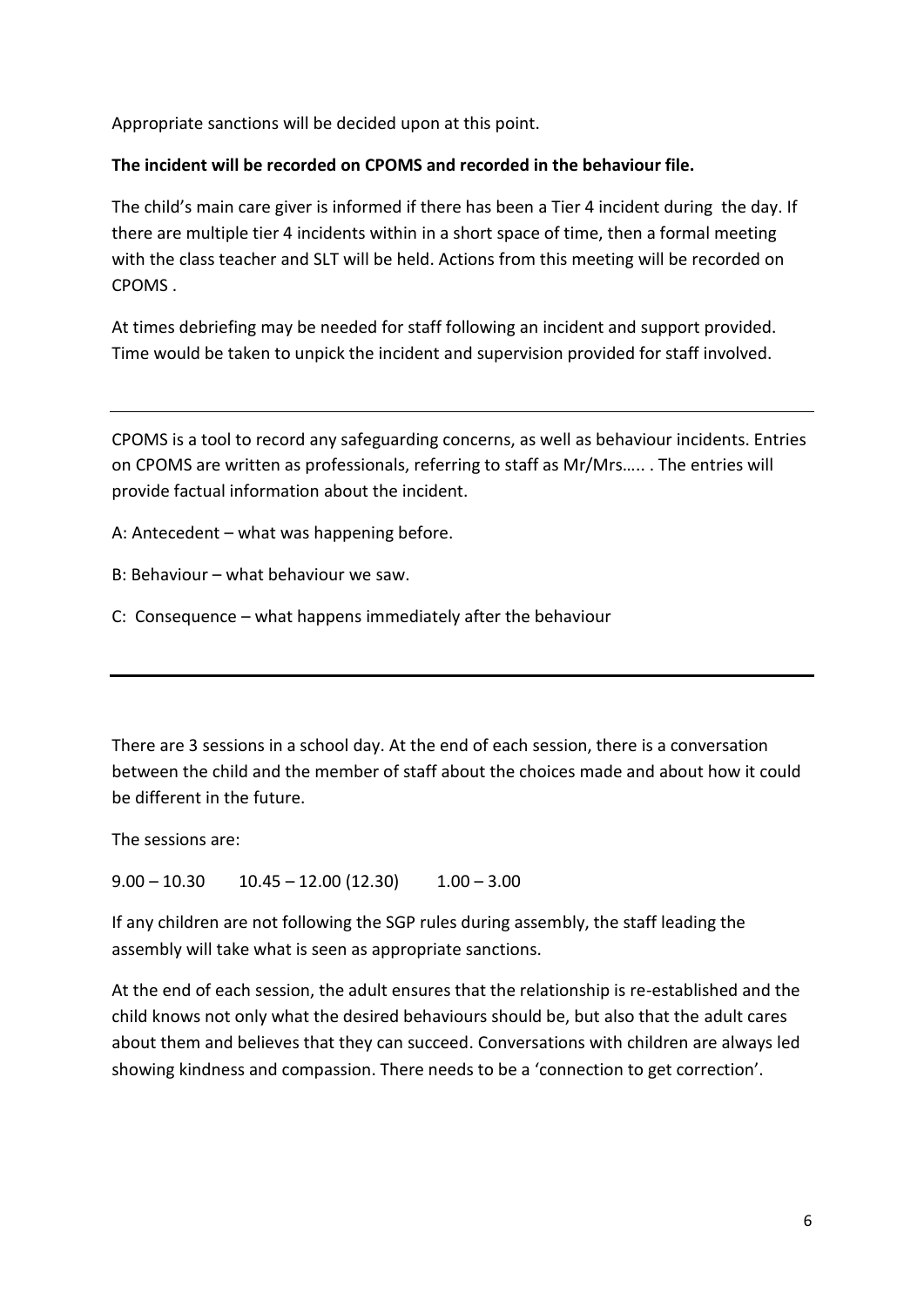Appropriate sanctions will be decided upon at this point.

#### **The incident will be recorded on CPOMS and recorded in the behaviour file.**

The child's main care giver is informed if there has been a Tier 4 incident during the day. If there are multiple tier 4 incidents within in a short space of time, then a formal meeting with the class teacher and SLT will be held. Actions from this meeting will be recorded on **CPOMS** 

At times debriefing may be needed for staff following an incident and support provided. Time would be taken to unpick the incident and supervision provided for staff involved.

CPOMS is a tool to record any safeguarding concerns, as well as behaviour incidents. Entries on CPOMS are written as professionals, referring to staff as Mr/Mrs….. . The entries will provide factual information about the incident.

A: Antecedent – what was happening before.

B: Behaviour – what behaviour we saw.

C: Consequence – what happens immediately after the behaviour

There are 3 sessions in a school day. At the end of each session, there is a conversation between the child and the member of staff about the choices made and about how it could be different in the future.

The sessions are:

 $9.00 - 10.30$   $10.45 - 12.00$  (12.30)  $1.00 - 3.00$ 

If any children are not following the SGP rules during assembly, the staff leading the assembly will take what is seen as appropriate sanctions.

At the end of each session, the adult ensures that the relationship is re-established and the child knows not only what the desired behaviours should be, but also that the adult cares about them and believes that they can succeed. Conversations with children are always led showing kindness and compassion. There needs to be a 'connection to get correction'.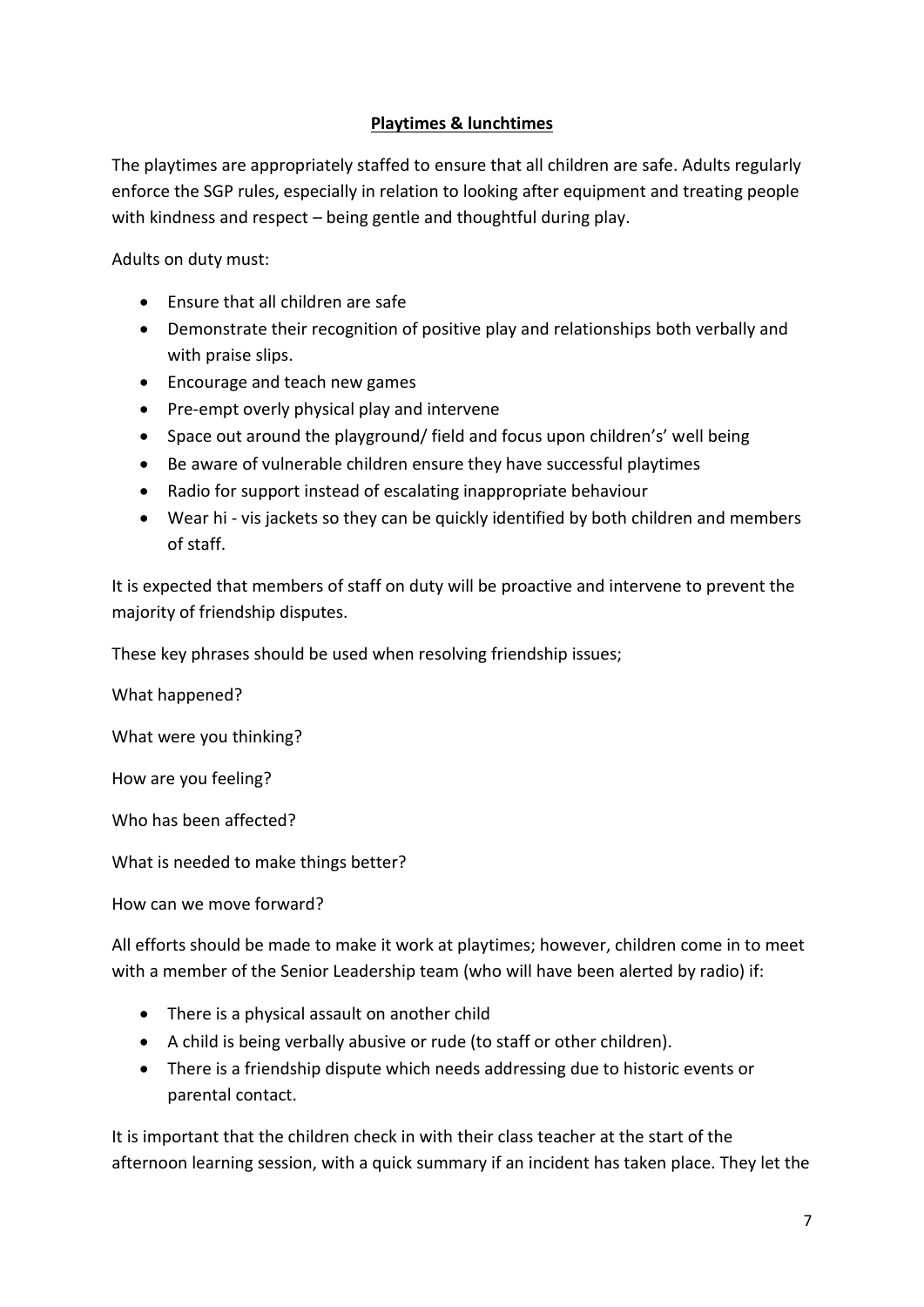## **Playtimes & lunchtimes**

The playtimes are appropriately staffed to ensure that all children are safe. Adults regularly enforce the SGP rules, especially in relation to looking after equipment and treating people with kindness and respect – being gentle and thoughtful during play.

Adults on duty must:

- Ensure that all children are safe
- Demonstrate their recognition of positive play and relationships both verbally and with praise slips.
- Encourage and teach new games
- Pre-empt overly physical play and intervene
- Space out around the playground/ field and focus upon children's' well being
- Be aware of vulnerable children ensure they have successful playtimes
- Radio for support instead of escalating inappropriate behaviour
- Wear hi vis jackets so they can be quickly identified by both children and members of staff.

It is expected that members of staff on duty will be proactive and intervene to prevent the majority of friendship disputes.

These key phrases should be used when resolving friendship issues;

What happened?

What were you thinking?

How are you feeling?

Who has been affected?

What is needed to make things better?

How can we move forward?

All efforts should be made to make it work at playtimes; however, children come in to meet with a member of the Senior Leadership team (who will have been alerted by radio) if:

- There is a physical assault on another child
- A child is being verbally abusive or rude (to staff or other children).
- There is a friendship dispute which needs addressing due to historic events or parental contact.

It is important that the children check in with their class teacher at the start of the afternoon learning session, with a quick summary if an incident has taken place. They let the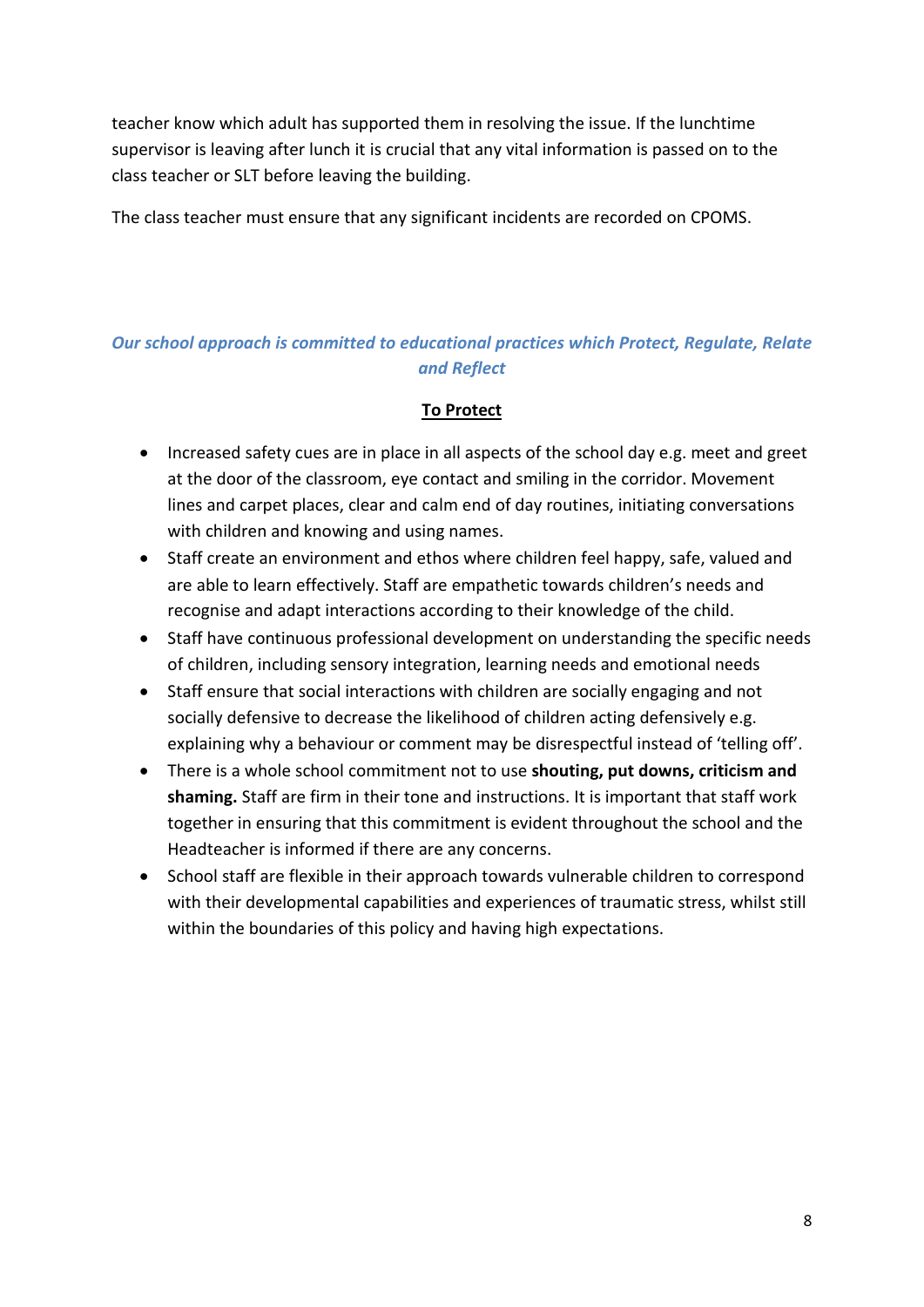teacher know which adult has supported them in resolving the issue. If the lunchtime supervisor is leaving after lunch it is crucial that any vital information is passed on to the class teacher or SLT before leaving the building.

The class teacher must ensure that any significant incidents are recorded on CPOMS.

## *Our school approach is committed to educational practices which Protect, Regulate, Relate and Reflect*

#### **To Protect**

- Increased safety cues are in place in all aspects of the school day e.g. meet and greet at the door of the classroom, eye contact and smiling in the corridor. Movement lines and carpet places, clear and calm end of day routines, initiating conversations with children and knowing and using names.
- Staff create an environment and ethos where children feel happy, safe, valued and are able to learn effectively. Staff are empathetic towards children's needs and recognise and adapt interactions according to their knowledge of the child.
- Staff have continuous professional development on understanding the specific needs of children, including sensory integration, learning needs and emotional needs
- Staff ensure that social interactions with children are socially engaging and not socially defensive to decrease the likelihood of children acting defensively e.g. explaining why a behaviour or comment may be disrespectful instead of 'telling off'.
- There is a whole school commitment not to use **shouting, put downs, criticism and shaming.** Staff are firm in their tone and instructions. It is important that staff work together in ensuring that this commitment is evident throughout the school and the Headteacher is informed if there are any concerns.
- School staff are flexible in their approach towards vulnerable children to correspond with their developmental capabilities and experiences of traumatic stress, whilst still within the boundaries of this policy and having high expectations.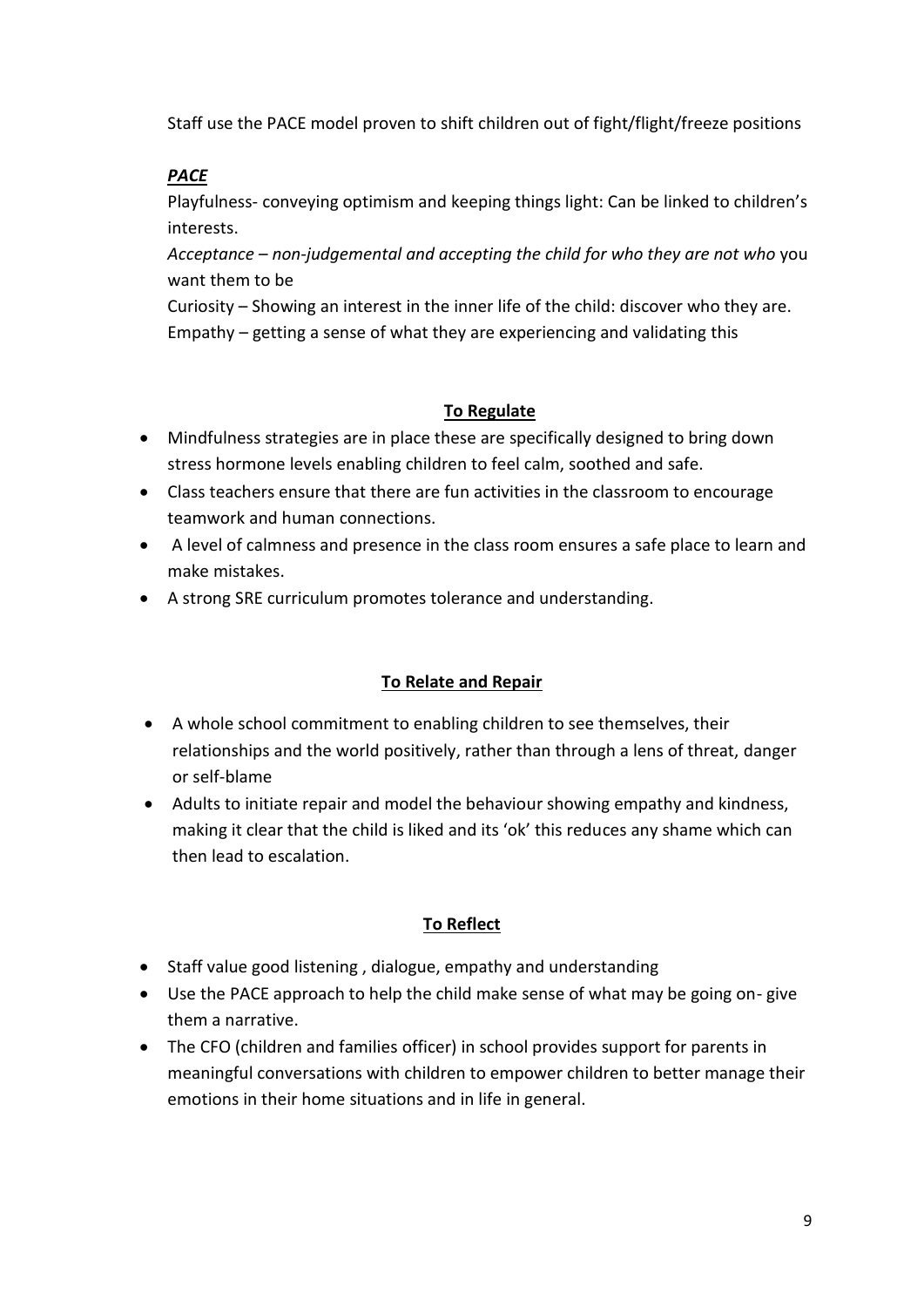Staff use the PACE model proven to shift children out of fight/flight/freeze positions

## *PACE*

Playfulness- conveying optimism and keeping things light: Can be linked to children's interests.

*Acceptance – non-judgemental and accepting the child for who they are not who* you want them to be

Curiosity – Showing an interest in the inner life of the child: discover who they are. Empathy – getting a sense of what they are experiencing and validating this

#### **To Regulate**

- Mindfulness strategies are in place these are specifically designed to bring down stress hormone levels enabling children to feel calm, soothed and safe.
- Class teachers ensure that there are fun activities in the classroom to encourage teamwork and human connections.
- A level of calmness and presence in the class room ensures a safe place to learn and make mistakes.
- A strong SRE curriculum promotes tolerance and understanding.

#### **To Relate and Repair**

- A whole school commitment to enabling children to see themselves, their relationships and the world positively, rather than through a lens of threat, danger or self-blame
- Adults to initiate repair and model the behaviour showing empathy and kindness, making it clear that the child is liked and its 'ok' this reduces any shame which can then lead to escalation.

## **To Reflect**

- Staff value good listening , dialogue, empathy and understanding
- Use the PACE approach to help the child make sense of what may be going on- give them a narrative.
- The CFO (children and families officer) in school provides support for parents in meaningful conversations with children to empower children to better manage their emotions in their home situations and in life in general.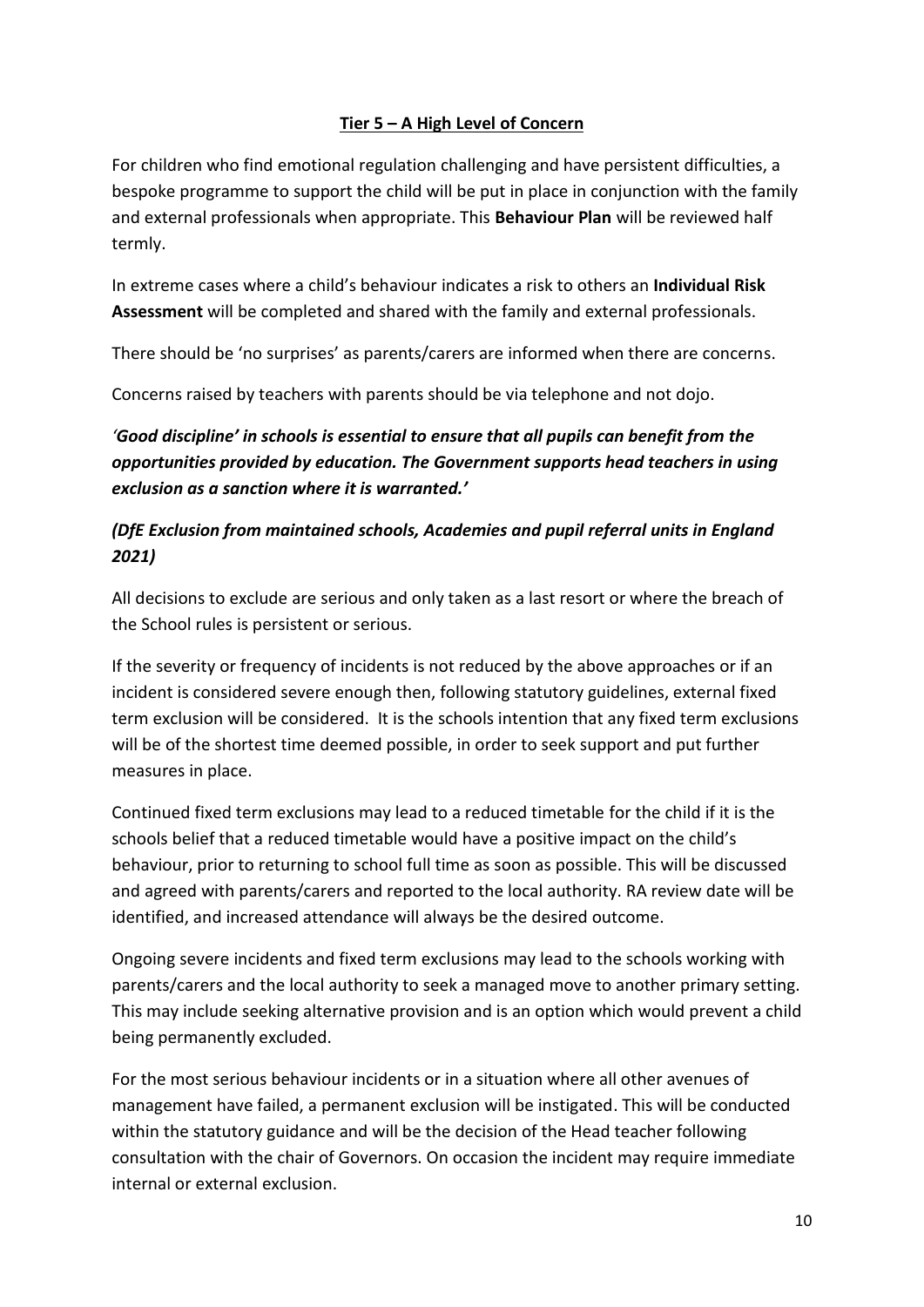#### **Tier 5 – A High Level of Concern**

For children who find emotional regulation challenging and have persistent difficulties, a bespoke programme to support the child will be put in place in conjunction with the family and external professionals when appropriate. This **Behaviour Plan** will be reviewed half termly.

In extreme cases where a child's behaviour indicates a risk to others an **Individual Risk Assessment** will be completed and shared with the family and external professionals.

There should be 'no surprises' as parents/carers are informed when there are concerns.

Concerns raised by teachers with parents should be via telephone and not dojo.

*'Good discipline' in schools is essential to ensure that all pupils can benefit from the opportunities provided by education. The Government supports head teachers in using exclusion as a sanction where it is warranted.'*

## *(DfE Exclusion from maintained schools, Academies and pupil referral units in England 2021)*

All decisions to exclude are serious and only taken as a last resort or where the breach of the School rules is persistent or serious.

If the severity or frequency of incidents is not reduced by the above approaches or if an incident is considered severe enough then, following statutory guidelines, external fixed term exclusion will be considered. It is the schools intention that any fixed term exclusions will be of the shortest time deemed possible, in order to seek support and put further measures in place.

Continued fixed term exclusions may lead to a reduced timetable for the child if it is the schools belief that a reduced timetable would have a positive impact on the child's behaviour, prior to returning to school full time as soon as possible. This will be discussed and agreed with parents/carers and reported to the local authority. RA review date will be identified, and increased attendance will always be the desired outcome.

Ongoing severe incidents and fixed term exclusions may lead to the schools working with parents/carers and the local authority to seek a managed move to another primary setting. This may include seeking alternative provision and is an option which would prevent a child being permanently excluded.

For the most serious behaviour incidents or in a situation where all other avenues of management have failed, a permanent exclusion will be instigated. This will be conducted within the statutory guidance and will be the decision of the Head teacher following consultation with the chair of Governors. On occasion the incident may require immediate internal or external exclusion.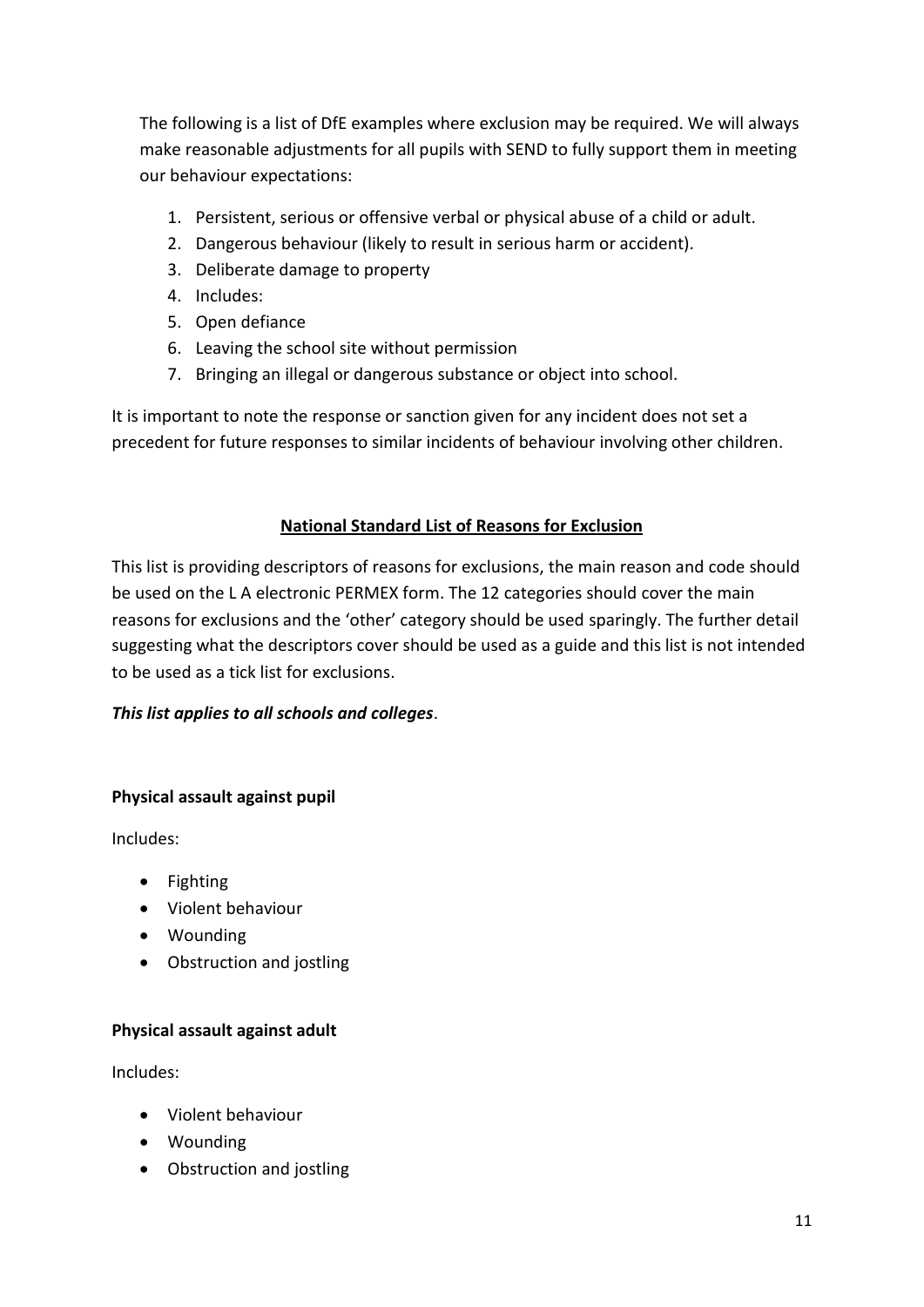The following is a list of DfE examples where exclusion may be required. We will always make reasonable adjustments for all pupils with SEND to fully support them in meeting our behaviour expectations:

- 1. Persistent, serious or offensive verbal or physical abuse of a child or adult.
- 2. Dangerous behaviour (likely to result in serious harm or accident).
- 3. Deliberate damage to property
- 4. Includes:
- 5. Open defiance
- 6. Leaving the school site without permission
- 7. Bringing an illegal or dangerous substance or object into school.

It is important to note the response or sanction given for any incident does not set a precedent for future responses to similar incidents of behaviour involving other children.

#### **National Standard List of Reasons for Exclusion**

This list is providing descriptors of reasons for exclusions, the main reason and code should be used on the L A electronic PERMEX form. The 12 categories should cover the main reasons for exclusions and the 'other' category should be used sparingly. The further detail suggesting what the descriptors cover should be used as a guide and this list is not intended to be used as a tick list for exclusions.

#### *This list applies to all schools and colleges*.

#### **Physical assault against pupil**

Includes:

- Fighting
- Violent behaviour
- Wounding
- Obstruction and jostling

#### **Physical assault against adult**

Includes:

- Violent behaviour
- Wounding
- Obstruction and jostling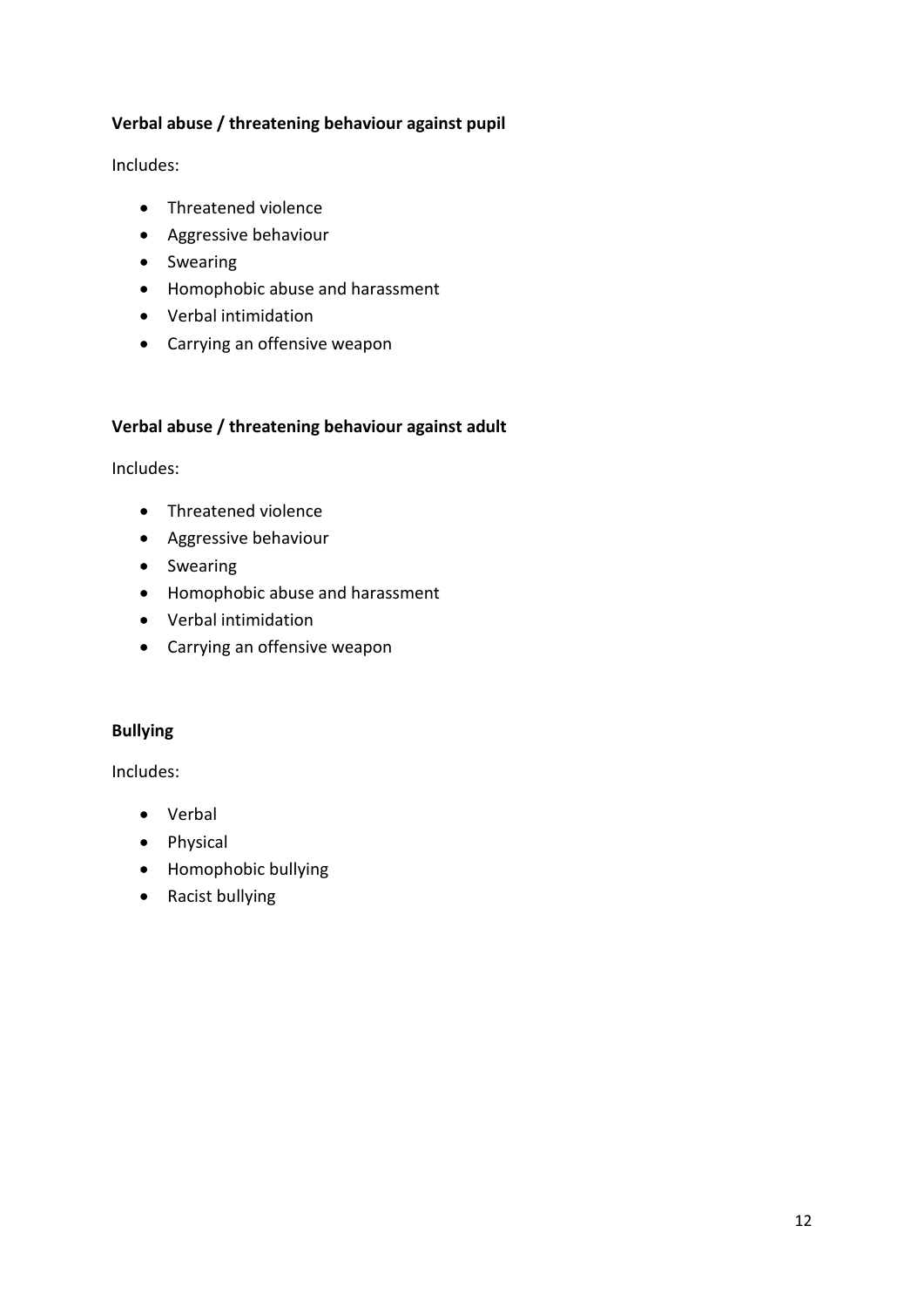#### **Verbal abuse / threatening behaviour against pupil**

Includes:

- Threatened violence
- Aggressive behaviour
- Swearing
- Homophobic abuse and harassment
- Verbal intimidation
- Carrying an offensive weapon

#### **Verbal abuse / threatening behaviour against adult**

Includes:

- Threatened violence
- Aggressive behaviour
- **•** Swearing
- Homophobic abuse and harassment
- Verbal intimidation
- Carrying an offensive weapon

#### **Bullying**

Includes:

- Verbal
- Physical
- Homophobic bullying
- Racist bullying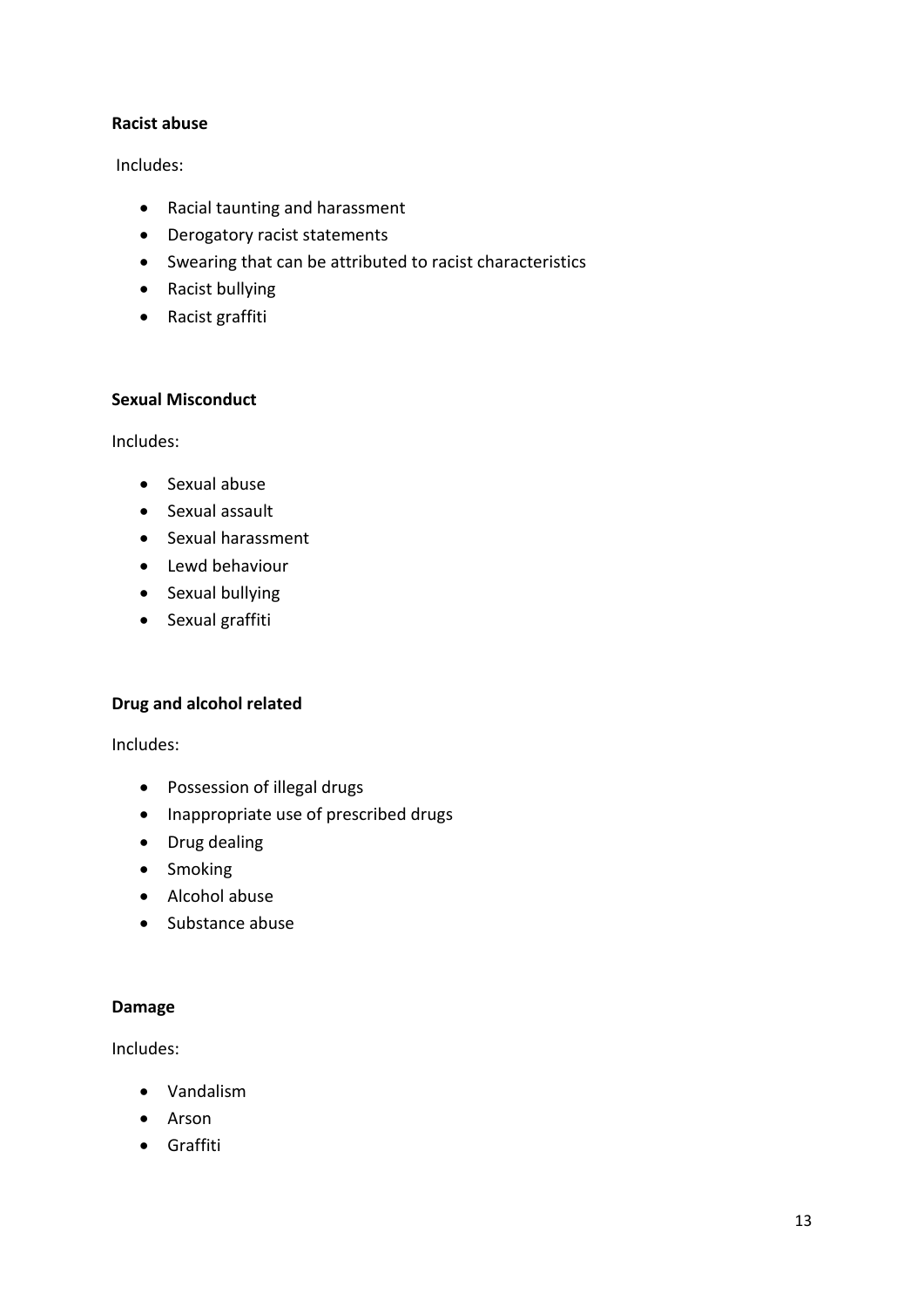#### **Racist abuse**

Includes:

- Racial taunting and harassment
- Derogatory racist statements
- Swearing that can be attributed to racist characteristics
- Racist bullying
- Racist graffiti

#### **Sexual Misconduct**

Includes:

- Sexual abuse
- Sexual assault
- Sexual harassment
- Lewd behaviour
- Sexual bullying
- Sexual graffiti

#### **Drug and alcohol related**

Includes:

- Possession of illegal drugs
- Inappropriate use of prescribed drugs
- Drug dealing
- Smoking
- Alcohol abuse
- Substance abuse

#### **Damage**

Includes:

- Vandalism
- Arson
- **•** Graffiti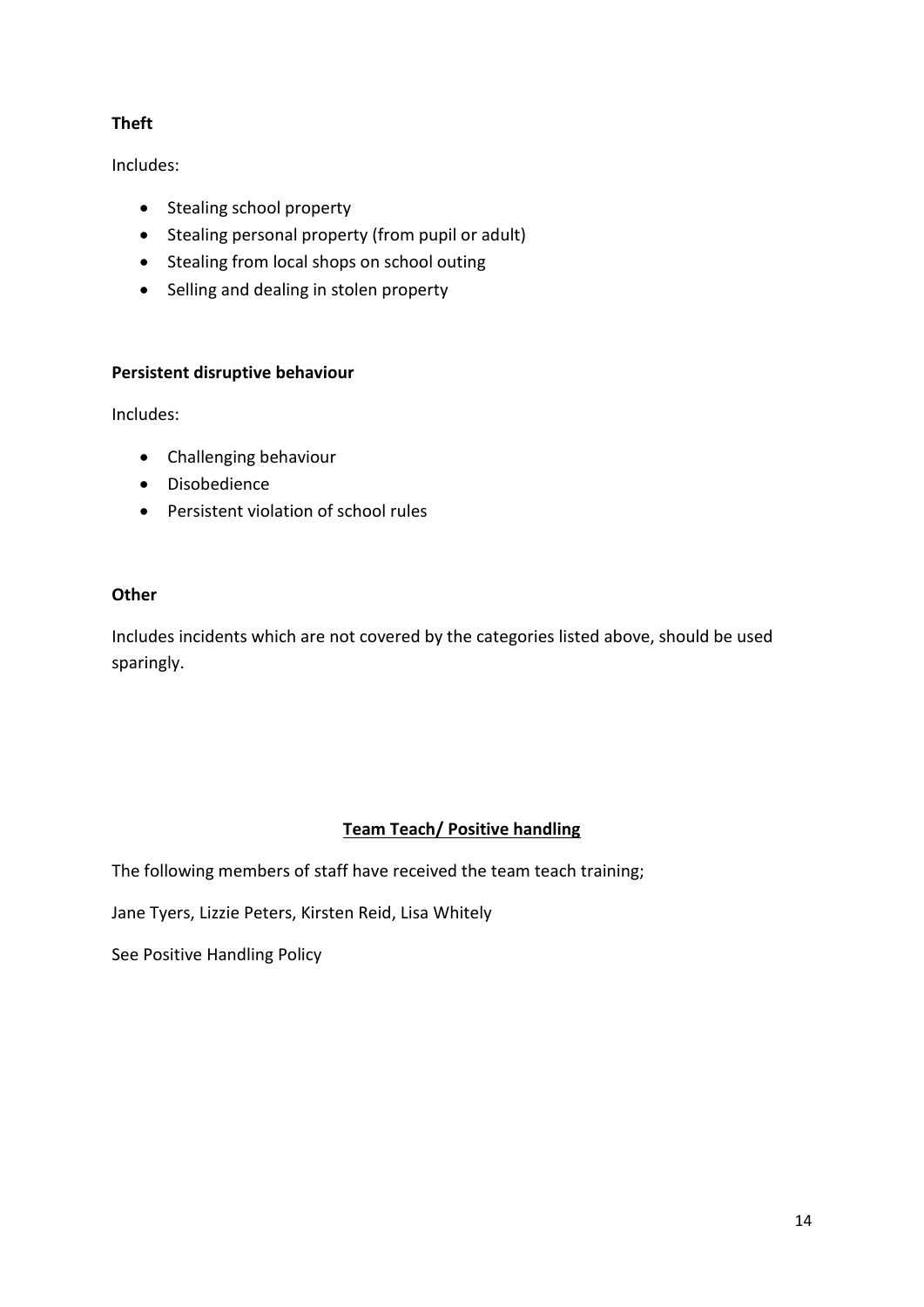## **Theft**

Includes:

- Stealing school property
- Stealing personal property (from pupil or adult)
- Stealing from local shops on school outing
- Selling and dealing in stolen property

#### **Persistent disruptive behaviour**

Includes:

- Challenging behaviour
- Disobedience
- Persistent violation of school rules

#### **Other**

Includes incidents which are not covered by the categories listed above, should be used sparingly.

## **Team Teach/ Positive handling**

The following members of staff have received the team teach training;

Jane Tyers, Lizzie Peters, Kirsten Reid, Lisa Whitely

See Positive Handling Policy